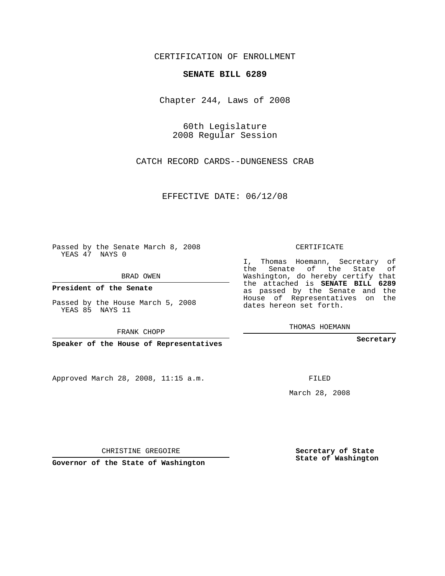CERTIFICATION OF ENROLLMENT

### **SENATE BILL 6289**

Chapter 244, Laws of 2008

60th Legislature 2008 Regular Session

CATCH RECORD CARDS--DUNGENESS CRAB

EFFECTIVE DATE: 06/12/08

Passed by the Senate March 8, 2008 YEAS 47 NAYS 0

BRAD OWEN

**President of the Senate**

Passed by the House March 5, 2008 YEAS 85 NAYS 11

FRANK CHOPP

**Speaker of the House of Representatives**

Approved March 28, 2008, 11:15 a.m.

CERTIFICATE

I, Thomas Hoemann, Secretary of the Senate of the State of Washington, do hereby certify that the attached is **SENATE BILL 6289** as passed by the Senate and the House of Representatives on the dates hereon set forth.

THOMAS HOEMANN

**Secretary**

FILED

March 28, 2008

**Secretary of State State of Washington**

CHRISTINE GREGOIRE

**Governor of the State of Washington**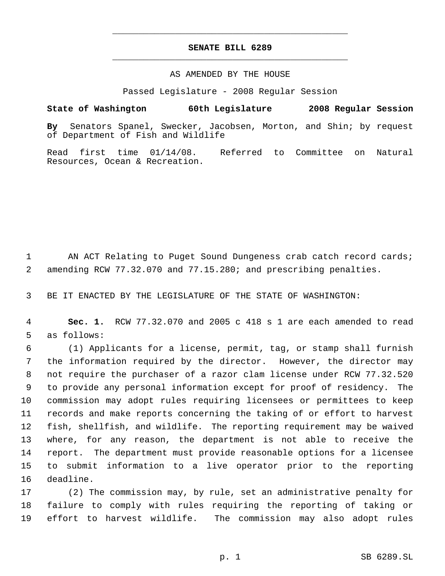## **SENATE BILL 6289** \_\_\_\_\_\_\_\_\_\_\_\_\_\_\_\_\_\_\_\_\_\_\_\_\_\_\_\_\_\_\_\_\_\_\_\_\_\_\_\_\_\_\_\_\_

\_\_\_\_\_\_\_\_\_\_\_\_\_\_\_\_\_\_\_\_\_\_\_\_\_\_\_\_\_\_\_\_\_\_\_\_\_\_\_\_\_\_\_\_\_

## AS AMENDED BY THE HOUSE

Passed Legislature - 2008 Regular Session

# **State of Washington 60th Legislature 2008 Regular Session**

**By** Senators Spanel, Swecker, Jacobsen, Morton, and Shin; by request of Department of Fish and Wildlife

Read first time 01/14/08. Referred to Committee on Natural Resources, Ocean & Recreation.

 AN ACT Relating to Puget Sound Dungeness crab catch record cards; amending RCW 77.32.070 and 77.15.280; and prescribing penalties.

BE IT ENACTED BY THE LEGISLATURE OF THE STATE OF WASHINGTON:

 **Sec. 1.** RCW 77.32.070 and 2005 c 418 s 1 are each amended to read as follows:

 (1) Applicants for a license, permit, tag, or stamp shall furnish the information required by the director. However, the director may not require the purchaser of a razor clam license under RCW 77.32.520 to provide any personal information except for proof of residency. The commission may adopt rules requiring licensees or permittees to keep records and make reports concerning the taking of or effort to harvest fish, shellfish, and wildlife. The reporting requirement may be waived where, for any reason, the department is not able to receive the report. The department must provide reasonable options for a licensee to submit information to a live operator prior to the reporting deadline.

 (2) The commission may, by rule, set an administrative penalty for failure to comply with rules requiring the reporting of taking or effort to harvest wildlife. The commission may also adopt rules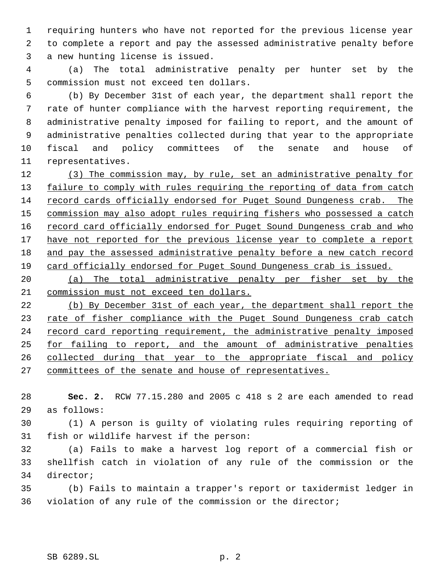requiring hunters who have not reported for the previous license year to complete a report and pay the assessed administrative penalty before a new hunting license is issued.

 (a) The total administrative penalty per hunter set by the commission must not exceed ten dollars.

 (b) By December 31st of each year, the department shall report the rate of hunter compliance with the harvest reporting requirement, the administrative penalty imposed for failing to report, and the amount of administrative penalties collected during that year to the appropriate fiscal and policy committees of the senate and house of representatives.

12 (3) The commission may, by rule, set an administrative penalty for 13 failure to comply with rules requiring the reporting of data from catch record cards officially endorsed for Puget Sound Dungeness crab. The 15 commission may also adopt rules requiring fishers who possessed a catch 16 record card officially endorsed for Puget Sound Dungeness crab and who 17 have not reported for the previous license year to complete a report and pay the assessed administrative penalty before a new catch record card officially endorsed for Puget Sound Dungeness crab is issued.

 (a) The total administrative penalty per fisher set by the commission must not exceed ten dollars.

 (b) By December 31st of each year, the department shall report the 23 rate of fisher compliance with the Puget Sound Dungeness crab catch 24 record card reporting requirement, the administrative penalty imposed for failing to report, and the amount of administrative penalties collected during that year to the appropriate fiscal and policy committees of the senate and house of representatives.

 **Sec. 2.** RCW 77.15.280 and 2005 c 418 s 2 are each amended to read as follows:

 (1) A person is guilty of violating rules requiring reporting of fish or wildlife harvest if the person:

 (a) Fails to make a harvest log report of a commercial fish or shellfish catch in violation of any rule of the commission or the director;

 (b) Fails to maintain a trapper's report or taxidermist ledger in violation of any rule of the commission or the director;